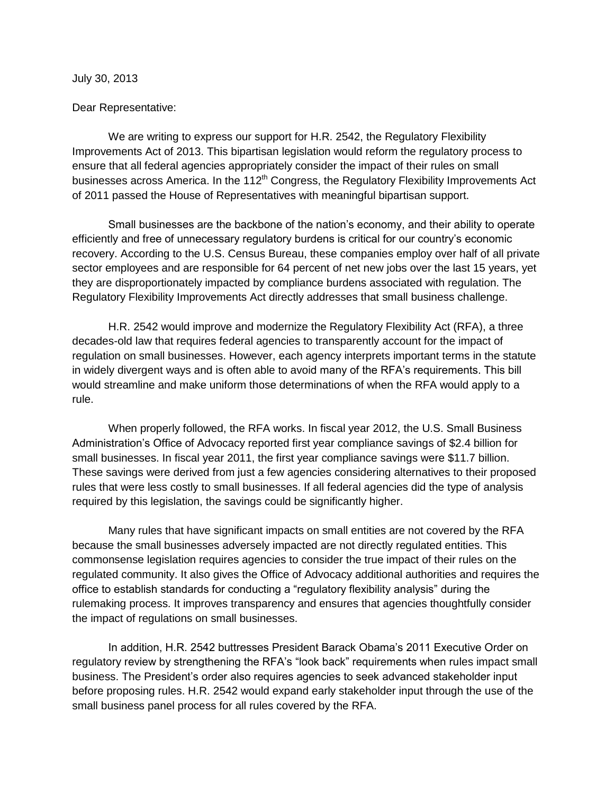July 30, 2013

## Dear Representative:

We are writing to express our support for H.R. 2542, the Regulatory Flexibility Improvements Act of 2013. This bipartisan legislation would reform the regulatory process to ensure that all federal agencies appropriately consider the impact of their rules on small businesses across America. In the  $112<sup>th</sup>$  Congress, the Regulatory Flexibility Improvements Act of 2011 passed the House of Representatives with meaningful bipartisan support.

Small businesses are the backbone of the nation's economy, and their ability to operate efficiently and free of unnecessary regulatory burdens is critical for our country's economic recovery. According to the U.S. Census Bureau, these companies employ over half of all private sector employees and are responsible for 64 percent of net new jobs over the last 15 years, yet they are disproportionately impacted by compliance burdens associated with regulation. The Regulatory Flexibility Improvements Act directly addresses that small business challenge.

H.R. 2542 would improve and modernize the Regulatory Flexibility Act (RFA), a three decades-old law that requires federal agencies to transparently account for the impact of regulation on small businesses. However, each agency interprets important terms in the statute in widely divergent ways and is often able to avoid many of the RFA's requirements. This bill would streamline and make uniform those determinations of when the RFA would apply to a rule.

When properly followed, the RFA works. In fiscal year 2012, the U.S. Small Business Administration's Office of Advocacy reported first year compliance savings of \$2.4 billion for small businesses. In fiscal year 2011, the first year compliance savings were \$11.7 billion. These savings were derived from just a few agencies considering alternatives to their proposed rules that were less costly to small businesses. If all federal agencies did the type of analysis required by this legislation, the savings could be significantly higher.

Many rules that have significant impacts on small entities are not covered by the RFA because the small businesses adversely impacted are not directly regulated entities. This commonsense legislation requires agencies to consider the true impact of their rules on the regulated community. It also gives the Office of Advocacy additional authorities and requires the office to establish standards for conducting a "regulatory flexibility analysis" during the rulemaking process. It improves transparency and ensures that agencies thoughtfully consider the impact of regulations on small businesses.

In addition, H.R. 2542 buttresses President Barack Obama's 2011 Executive Order on regulatory review by strengthening the RFA's "look back" requirements when rules impact small business. The President's order also requires agencies to seek advanced stakeholder input before proposing rules. H.R. 2542 would expand early stakeholder input through the use of the small business panel process for all rules covered by the RFA.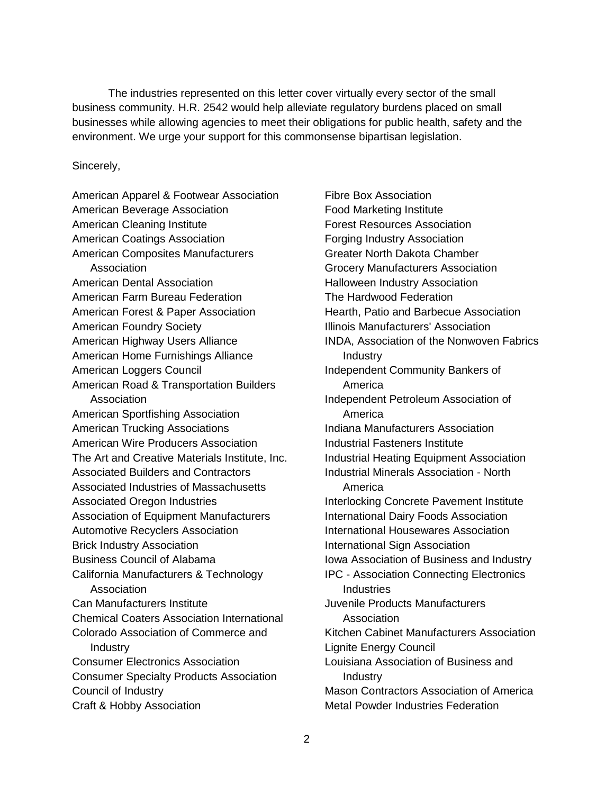The industries represented on this letter cover virtually every sector of the small business community. H.R. 2542 would help alleviate regulatory burdens placed on small businesses while allowing agencies to meet their obligations for public health, safety and the environment. We urge your support for this commonsense bipartisan legislation.

## Sincerely,

American Apparel & Footwear Association American Beverage Association American Cleaning Institute American Coatings Association American Composites Manufacturers Association American Dental Association American Farm Bureau Federation American Forest & Paper Association American Foundry Society American Highway Users Alliance American Home Furnishings Alliance American Loggers Council American Road & Transportation Builders Association American Sportfishing Association American Trucking Associations American Wire Producers Association The Art and Creative Materials Institute, Inc. Associated Builders and Contractors Associated Industries of Massachusetts Associated Oregon Industries Association of Equipment Manufacturers Automotive Recyclers Association Brick Industry Association Business Council of Alabama California Manufacturers & Technology Association Can Manufacturers Institute Chemical Coaters Association International Colorado Association of Commerce and Industry Consumer Electronics Association Consumer Specialty Products Association Council of Industry Craft & Hobby Association

Fibre Box Association Food Marketing Institute Forest Resources Association Forging Industry Association Greater North Dakota Chamber Grocery Manufacturers Association Halloween Industry Association The Hardwood Federation Hearth, Patio and Barbecue Association Illinois Manufacturers' Association INDA, Association of the Nonwoven Fabrics **Industry** Independent Community Bankers of America Independent Petroleum Association of America Indiana Manufacturers Association Industrial Fasteners Institute Industrial Heating Equipment Association Industrial Minerals Association - North America Interlocking Concrete Pavement Institute International Dairy Foods Association International Housewares Association International Sign Association Iowa Association of Business and Industry IPC - Association Connecting Electronics **Industries** Juvenile Products Manufacturers Association Kitchen Cabinet Manufacturers Association Lignite Energy Council Louisiana Association of Business and **Industry** Mason Contractors Association of America Metal Powder Industries Federation